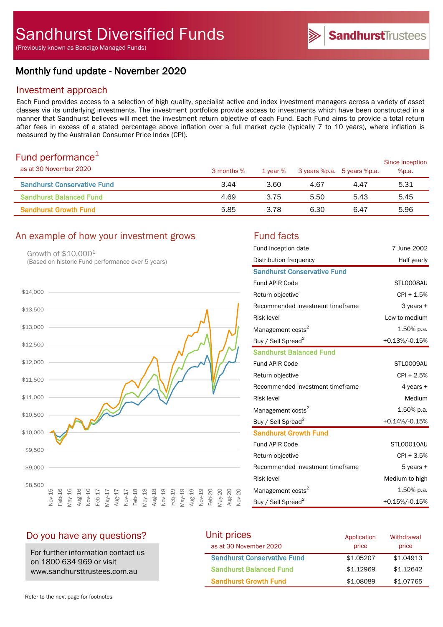# Monthly fund update - November 2020

# Investment approach

Each Fund provides access to a selection of high quality, specialist active and index investment managers across a variety of asset classes via its underlying investments. The investment portfolios provide access to investments which have been constructed in a manner that Sandhurst believes will meet the investment return objective of each Fund. Each Fund aims to provide a total return after fees in excess of a stated percentage above inflation over a full market cycle (typically 7 to 10 years), where inflation is measured by the Australian Consumer Price Index (CPI).

# Fund performance $1$

| as at 30 November 2020             | 3 months % | 1 vear % |      | 3 years %p.a. 5 years %p.a. | Since inception<br>%p.a. |
|------------------------------------|------------|----------|------|-----------------------------|--------------------------|
| <b>Sandhurst Conservative Fund</b> | 3.44       | 3.60     | 4.67 | 4.47                        | 5.31                     |
| <b>Sandhurst Balanced Fund</b>     | 4.69       | 3.75     | 5.50 | 5.43                        | 5.45                     |
| <b>Sandhurst Growth Fund</b>       | 5.85       | 3.78     | 6.30 | 6.47                        | 5.96                     |

# An example of how your investment grows Fund facts

Growth of \$10,0001 (Based on historic Fund performance over 5 years)



| Fund inception date                | 7 June 2002    |
|------------------------------------|----------------|
| Distribution frequency             | Half yearly    |
| <b>Sandhurst Conservative Fund</b> |                |
| <b>Fund APIR Code</b>              | STLO008AU      |
| Return objective                   | $CPI + 1.5%$   |
| Recommended investment timeframe   | 3 years +      |
| <b>Risk level</b>                  | Low to medium  |
| Management costs <sup>2</sup>      | 1.50% p.a.     |
| Buy / Sell Spread <sup>2</sup>     | +0.13%/-0.15%  |
| <b>Sandhurst Balanced Fund</b>     |                |
| <b>Fund APIR Code</b>              | STLO009AU      |
| Return objective                   | $CPI + 2.5%$   |
| Recommended investment timeframe   | 4 years $+$    |
| <b>Risk level</b>                  | Medium         |
| Management costs <sup>2</sup>      | 1.50% p.a.     |
| Buy / Sell Spread <sup>2</sup>     | +0.14%/-0.15%  |
| <b>Sandhurst Growth Fund</b>       |                |
| <b>Fund APIR Code</b>              | STL00010AU     |
| Return objective                   | CPI + 3.5%     |
| Recommended investment timeframe   | $5$ years $+$  |
| <b>Risk level</b>                  | Medium to high |
| Management costs <sup>2</sup>      | 1.50% p.a.     |
| Buy / Sell Spread <sup>2</sup>     | +0.15%/-0.15%  |

**Sandhurst**Trustees

# Do you have any questions?

For further information contact us on 1800 634 969 or visit www.sandhursttrustees.com.au

#### Unit prices as at 30 November 2020 Sandhurst Conservative Fund  $$1.05207$  \$1.04913 Sandhurst Balanced Fund  $$1.12969$  \$1.12642 **Sandhurst Growth Fund 51.08089 \$1.07765** Application price **Withdrawal** price